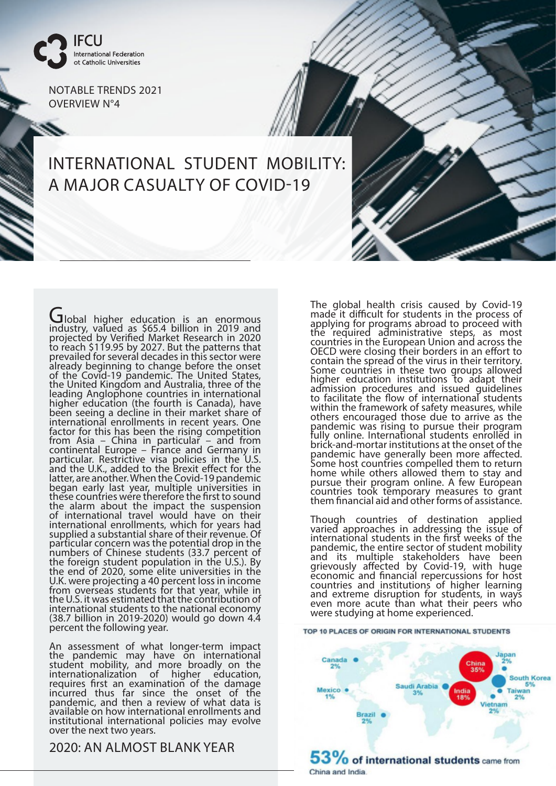

NOTABLE TRENDS 2021 OVERVIEW N°4

## INTERNATIONAL STUDENT MOBILITY: A MAJOR CASUALTY OF COVID-19

Global higher education is an enormous<br>industry, valued as \$65.4 billion in 2019 and projected by Verified Market Research in 2020 to reach \$119.95 by 2027. But the patterns that prevailed for several decades in this sector were already beginning to change before the onset of the Covid-19 pandemic. The United States, the United Kingdom and Australia, three of the leading Anglophone countries in international higher education (the fourth is Canada), have been seeing a decline in their market share of international enrollments in recent years. One factor for this has been the rising competition from Asia – China in particular – and from continental Europe – France and Germany in particular. Restrictive visa policies in the U.S. and the U.K., added to the Brexit effect for the latter, are another. When the Covid-19 pandemic began early last year, multiple universities in these countries were therefore the first to sound the alarm about the impact the suspension of international travel would have on their international enrollments, which for years had supplied a substantial share of their revenue. Of particular concern was the potential drop in the numbers of Chinese students (33.7 percent of the foreign student population in the U.S.). By the end of 2020, some elite universities in the U.K. were projecting a 40 percent loss in income from overseas students for that year, while in the U.S. it was estimated that the contribution of international students to the national economy (38.7 billion in 2019-2020) would go down 4.4 percent the following year.

An assessment of what longer-term impact the pandemic may have on international student mobility, and more broadly on the internationalization of higher education, requires first an examination of the damage incurred thus far since the onset of the pandemic, and then a review of what data is available on how international enrollments and institutional international policies may evolve over the next two years.

2020: AN ALMOST BLANK YEAR

The global health crisis caused by Covid-19 made it difficult for students in the process of applying for programs abroad to proceed with the required administrative steps, as most countries in the European Union and across the OECD were closing their borders in an effort to contain the spread of the virus in their territory. Some countries in these two groups allowed higher education institutions to adapt their admission procedures and issued guidelines to facilitate the flow of international students within the framework of safety measures, while others encouraged those due to arrive as the pandemic was rising to pursue their program fully online. International students enrolled in brick-and-mortar institutions at the onset of the pandemic have generally been more affected. Some host countries compelled them to return home while others allowed them to stay and pursue their program online. A few European countries took temporary measures to grant them financial aid and other forms of assistance.

Though countries of destination applied varied approaches in addressing the issue of international students in the first weeks of the pandemic, the entire sector of student mobility and its multiple stakeholders have been grievously affected by Covid-19, with huge economic and financial repercussions for host countries and institutions of higher learning and extreme disruption for students, in ways even more acute than what their peers who were studying at home experienced.

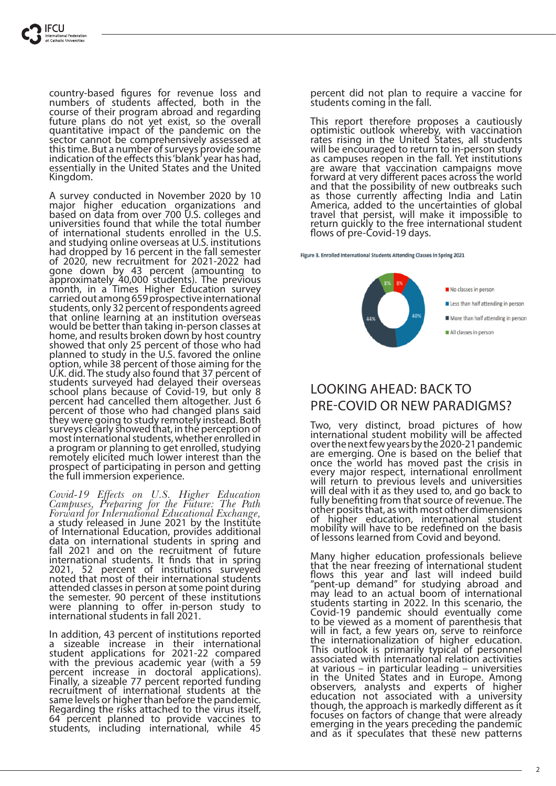country-based figures for revenue loss and numbers of students affected, both in the course of their program abroad and regarding future plans do not yet exist, so the overall quantitative impact of the pandemic on the sector cannot be comprehensively assessed at this time. But a number of surveys provide some indication of the effects this 'blank' year has had, essentially in the United States and the United Kingdom.

A survey conducted in November 2020 by 10 major higher education organizations and based on data from over 700 U.S. colleges and universities found that while the total number of international students enrolled in the U.S. and studying online overseas at U.S. institutions had dropped by 16 percent in the fall semester of 2020, new recruitment for 2021-2022 had gone down by 43 percent (amounting to approximately 40,000 students). The previous month, in a Times Higher Education survey carried out among 659 prospective international students, only 32 percent of respondents agreed that online learning at an institution overseas would be better than taking in-person classes at home, and results broken down by host country showed that only 25 percent of those who had planned to study in the U.S. favored the online option, while 38 percent of those aiming for the U.K. did. The study also found that 37 percent of students surveyed had delayed their overseas school plans because of Covid-19, but only 8 percent had cancelled them altogether. Just 6 percent of those who had changed plans said they were going to study remotely instead. Both surveys clearly showed that, in the perception of most international students, whether enrolled in a program or planning to get enrolled, studying remotely elicited much lower interest than the prospect of participating in person and getting the full immersion experience.

*Covid-19 Effects on U.S. Higher Education Campuses, Preparing for the Future: The Path Forward for International Educational Exchange,*  a study released in June 2021 by the Institute of International Education, provides additional data on international students in spring and fall 2021 and on the recruitment of future international students. It finds that in spring 2021, 52 percent of institutions surveyed noted that most of their international students attended classes in person at some point during the semester. 90 percent of these institutions were planning to offer in-person study to international students in fall 2021.

In addition, 43 percent of institutions reported a sizeable increase in their international student applications for 2021-22 compared with the previous academic year (with a 59 percent increase in doctoral applications). Finally, a sizeable 77 percent reported funding recruitment of international students at the same levels or higher than before the pandemic. Regarding the risks attached to the virus itself, 64 percent planned to provide vaccines to students, including international, while 45

percent did not plan to require a vaccine for students coming in the fall.

This report therefore proposes a cautiously optimistic outlook whereby, with vaccination rates rising in the United States, all students will be encouraged to return to in-person study as campuses reopen in the fall. Yet institutions are aware that vaccination campaigns move forward at very different paces across the world and that the possibility of new outbreaks such as those currently affecting India and Latin America, added to the uncertainties of global travel that persist, will make it impossible to return quickly to the free international student flows of pre-Covid-19 days.

Figure 3. Enrolled International Students Attending Classes in Spring 2021



## LOOKING AHEAD: BACK TO PRE-COVID OR NEW PARADIGMS?

Two, very distinct, broad pictures of how international student mobility will be affected over the next few years by the 2020-21 pandemic are emerging. One is based on the belief that once the world has moved past the crisis in every major respect, international enrollment will return to previous levels and universities will deal with it as they used to, and go back to fully benefiting from that source of revenue. The other posits that, as with most other dimensions of higher education, international student mobility will have to be redefined on the basis of lessons learned from Covid and beyond.

Many higher education professionals believe that the near freezing of international student flows this year and last will indeed build "pent-up demand" for studying abroad and may lead to an actual boom of international students starting in 2022. In this scenario, the Covid-19 pandemic should eventually come to be viewed as a moment of parenthesis that will in fact, a few years on, serve to reinforce the internationalization of higher education. This outlook is primarily typical of personnel associated with international relation activities at various – in particular leading – universities in the United States and in Europe. Among observers, analysts and experts of higher education not associated with a university though, the approach is markedly different as it focuses on factors of change that were already emerging in the years preceding the pandemic and as it speculates that these new patterns